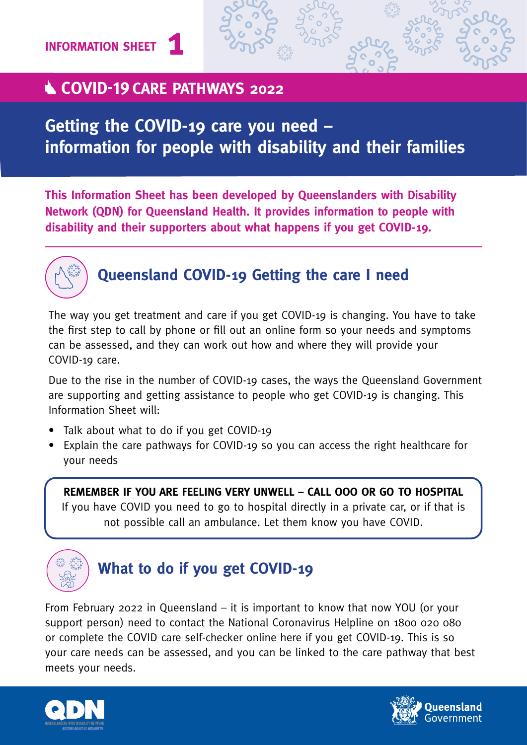# **COVID-19 CARE PATHWAYS 2022**

# **Getting the COVID-19 care you need – information for people with disability and their families**

**This Information Sheet has been developed by Queenslanders with Disability Network (QDN) for Queensland Health. It provides information to people with disability and their supporters about what happens if you get COVID-19.**



### **Queensland COVID-19 Getting the care I need**

The way you get treatment and care if you get COVID-19 is changing. You have to take the first step to call by phone or fill out an online form so your needs and symptoms can be assessed, and they can work out how and where they will provide your COVID-19 care.

Due to the rise in the number of COVID-19 cases, the ways the Queensland Government are supporting and getting assistance to people who get COVID-19 is changing. This Information Sheet will:

- Talk about what to do if you get COVID-19
- Explain the care pathways for COVID-19 so you can access the right healthcare for your needs

**REMEMBER IF YOU ARE FEELING VERY UNWELL – CALL OOO OR GO TO HOSPITAL**  If you have COVID you need to go to hospital directly in a private car, or if that is not possible call an ambulance. Let them know you have COVID.



# **What to do if you get COVID-19**

From February 2022 in Queensland – it is important to know that now YOU (or your support person) need to contact the National Coronavirus Helpline on 1800 020 080 or complete the COVID care self-checker online here if you get COVID-19. This is so your care needs can be assessed, and you can be linked to the care pathway that best meets your needs.



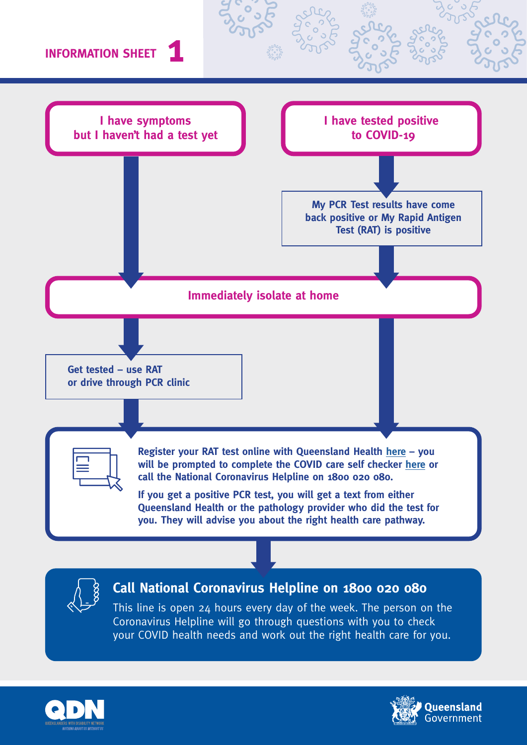